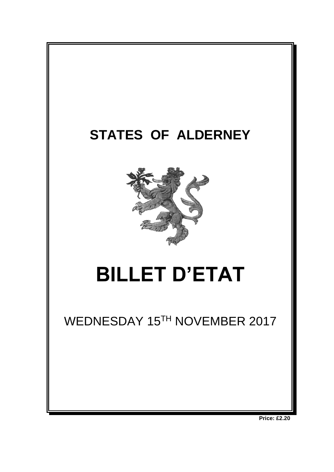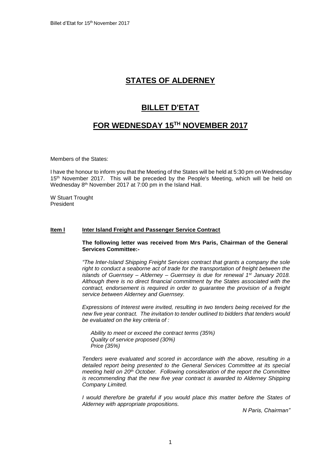# **STATES OF ALDERNEY**

## **BILLET D'ETAT**

### **FOR WEDNESDAY 15 TH NOVEMBER 2017**

Members of the States:

I have the honour to inform you that the Meeting of the States will be held at 5:30 pm on Wednesday 15<sup>th</sup> November 2017. This will be preceded by the People's Meeting, which will be held on Wednesday 8<sup>th</sup> November 2017 at 7:00 pm in the Island Hall.

W Stuart Trought President

### **Item I liter Island Freight and Passenger Service Contract**

**The following letter was received from Mrs Paris, Chairman of the General Services Committee:-**

*"The Inter-Island Shipping Freight Services contract that grants a company the sole right to conduct a seaborne act of trade for the transportation of freight between the islands of Guernsey – Alderney – Guernsey is due for renewal 1st January 2018. Although there is no direct financial commitment by the States associated with the contract, endorsement is required in order to guarantee the provision of a freight service between Alderney and Guernsey.*

*Expressions of Interest were invited, resulting in two tenders being received for the new five year contract. The invitation to tender outlined to bidders that tenders would be evaluated on the key criteria of :*

*Ability to meet or exceed the contract terms (35%) Quality of service proposed (30%) Price (35%)*

*Tenders were evaluated and scored in accordance with the above, resulting in a detailed report being presented to the General Services Committee at its special meeting held on 20th October. Following consideration of the report the Committee is recommending that the new five year contract is awarded to Alderney Shipping Company Limited.*

*I would therefore be grateful if you would place this matter before the States of Alderney with appropriate propositions.*

*N Paris, Chairman"*